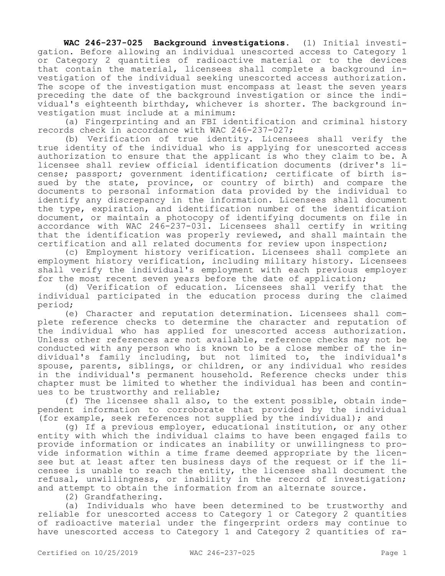**WAC 246-237-025 Background investigations.** (1) Initial investigation. Before allowing an individual unescorted access to Category 1 or Category 2 quantities of radioactive material or to the devices that contain the material, licensees shall complete a background investigation of the individual seeking unescorted access authorization. The scope of the investigation must encompass at least the seven years preceding the date of the background investigation or since the individual's eighteenth birthday, whichever is shorter. The background investigation must include at a minimum:

(a) Fingerprinting and an FBI identification and criminal history records check in accordance with WAC 246-237-027;

(b) Verification of true identity. Licensees shall verify the true identity of the individual who is applying for unescorted access authorization to ensure that the applicant is who they claim to be. A licensee shall review official identification documents (driver's license; passport; government identification; certificate of birth issued by the state, province, or country of birth) and compare the documents to personal information data provided by the individual to identify any discrepancy in the information. Licensees shall document the type, expiration, and identification number of the identification document, or maintain a photocopy of identifying documents on file in accordance with WAC 246-237-031. Licensees shall certify in writing that the identification was properly reviewed, and shall maintain the certification and all related documents for review upon inspection;

(c) Employment history verification. Licensees shall complete an employment history verification, including military history. Licensees shall verify the individual's employment with each previous employer for the most recent seven years before the date of application;

(d) Verification of education. Licensees shall verify that the individual participated in the education process during the claimed period;

(e) Character and reputation determination. Licensees shall complete reference checks to determine the character and reputation of the individual who has applied for unescorted access authorization. Unless other references are not available, reference checks may not be conducted with any person who is known to be a close member of the individual's family including, but not limited to, the individual's spouse, parents, siblings, or children, or any individual who resides in the individual's permanent household. Reference checks under this chapter must be limited to whether the individual has been and continues to be trustworthy and reliable;

(f) The licensee shall also, to the extent possible, obtain independent information to corroborate that provided by the individual (for example, seek references not supplied by the individual); and

(g) If a previous employer, educational institution, or any other entity with which the individual claims to have been engaged fails to provide information or indicates an inability or unwillingness to provide information within a time frame deemed appropriate by the licensee but at least after ten business days of the request or if the licensee is unable to reach the entity, the licensee shall document the refusal, unwillingness, or inability in the record of investigation; and attempt to obtain the information from an alternate source.

(2) Grandfathering.

(a) Individuals who have been determined to be trustworthy and reliable for unescorted access to Category 1 or Category 2 quantities of radioactive material under the fingerprint orders may continue to have unescorted access to Category 1 and Category 2 quantities of ra